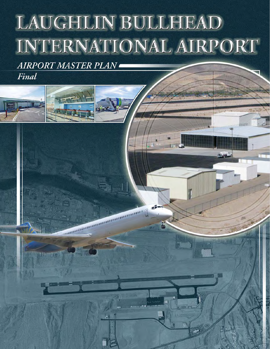# LAUGHLIN BULLHEAD INTERNATIONAL AIRPORT

西海

ammuner 8

**AIRPORT MASTER PLAN** 

Final

顧

**Teal**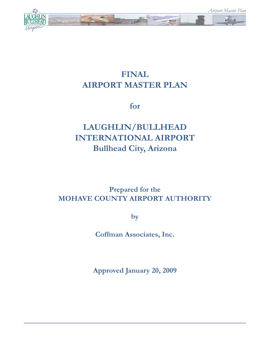

## **FINAL AIRPORT MASTER PLAN**

**for**

## **LAUGHLIN/BULLHEAD INTERNATIONAL AIRPORT Bullhead City, Arizona**

## **Prepared for the MOHAVE COUNTY AIRPORT AUTHORITY**

**by**

**Coffman Associates, Inc.**

**Approved January 20, 2009**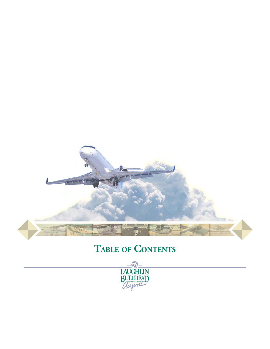

## **TABLE OF CONTENTS**

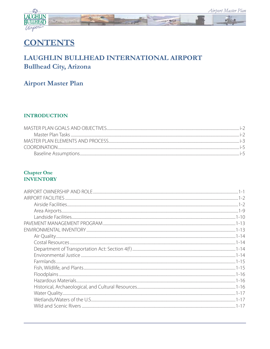

## **CONTENTS**

### LAUGHLIN BULLHEAD INTERNATIONAL AIRPORT **Bullhead City, Arizona**

### **Airport Master Plan**

### **INTRODUCTION**

| $1 - 7$ |
|---------|
|         |
|         |
|         |
|         |

### **Chapter One INVENTORY**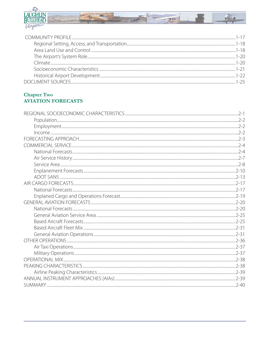

### **Chapter Two AVIATION FORECASTS**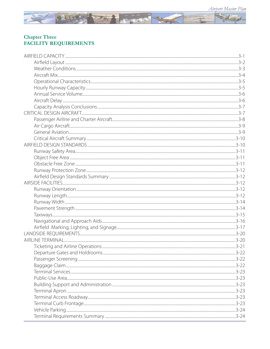

## **Chapter Three<br>FACILITY REQUIREMENTS**

| $3 - 22$ |
|----------|
|          |
|          |
|          |
|          |
|          |
|          |
|          |
|          |
|          |
|          |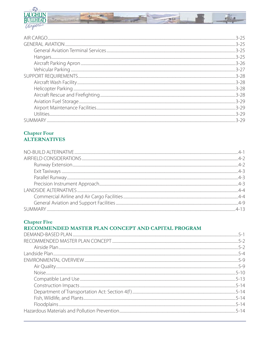

| $3 - 25$ |
|----------|
|          |
| $3 - 25$ |
|          |
| $3-27$   |
| $3-28$   |
| $3-28$   |
| 3-28     |
| $3-28$   |
| $3-29$   |
|          |
|          |
|          |
|          |

### **Chapter Four ALTERNATIVES**

### **Chapter Five**

### RECOMMENDED MASTER PLAN CONCEPT AND CAPITAL PROGRAM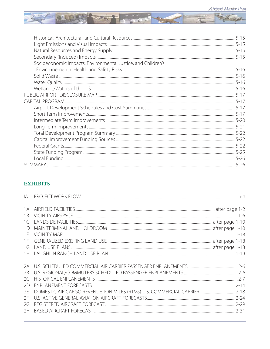

| Socioeconomic Impacts, Environmental Justice, and Children's |       |
|--------------------------------------------------------------|-------|
|                                                              |       |
|                                                              |       |
|                                                              |       |
|                                                              |       |
|                                                              |       |
|                                                              |       |
|                                                              |       |
|                                                              |       |
|                                                              |       |
|                                                              |       |
|                                                              |       |
|                                                              |       |
|                                                              |       |
|                                                              |       |
|                                                              |       |
|                                                              | .5-26 |
|                                                              |       |

### **EXHIBITS**

| IA             |  |
|----------------|--|
| 1 A            |  |
| 1 B            |  |
|                |  |
| 1 <sub>D</sub> |  |
| 1F             |  |
| 1F             |  |
| 1 <sub>1</sub> |  |
| 1H             |  |
| 2A             |  |
| 2B             |  |
| 2C             |  |
| 2D             |  |
| 2E             |  |
| 2F             |  |
| 2G             |  |
| 2H             |  |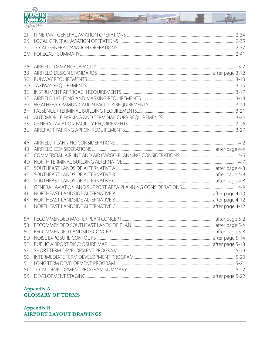|                | $-\overline{2}$   |  |
|----------------|-------------------|--|
|                | BULLALON BULLALON |  |
|                |                   |  |
|                |                   |  |
| 2J             |                   |  |
| 2K             |                   |  |
| 2L<br>2M       |                   |  |
|                |                   |  |
| 3A             |                   |  |
| 3B             |                   |  |
| 3C             |                   |  |
| 3D             |                   |  |
| 3E             |                   |  |
| 3F             |                   |  |
| 3G             |                   |  |
| 3H             |                   |  |
| 3J             |                   |  |
| 3K             |                   |  |
| 3L             |                   |  |
| 4A             |                   |  |
| 4B             |                   |  |
| 4C             |                   |  |
| 4D             |                   |  |
| 4E             |                   |  |
| 4F             |                   |  |
| 4G             |                   |  |
| 4H             |                   |  |
| 4 <sub>J</sub> |                   |  |
| 4К             |                   |  |
|                |                   |  |
|                |                   |  |
| 5A             |                   |  |
| 5B             |                   |  |
| 5C             |                   |  |
| 5D             |                   |  |
| 5E<br>5F       |                   |  |
| 5G             |                   |  |
| 5H             |                   |  |
| 5J             |                   |  |
| 5K             |                   |  |
|                |                   |  |

## Appendix A<br>GLOSSARY OF TERMS

Appendix B AIRPORT LAYOUT DRAWINGS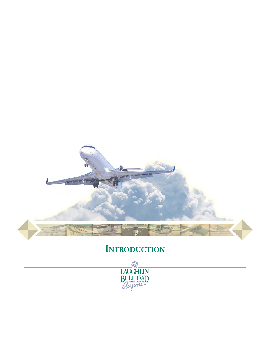

## **INTRODUCTION**

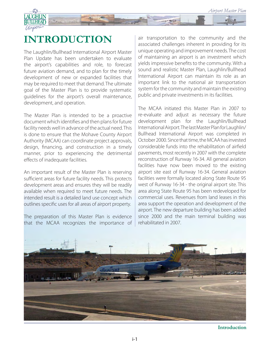

## **INTRODUCTION**

The Laughlin/Bullhead International Airport Master Plan Update has been undertaken to evaluate the airport's capabilities and role, to forecast future aviation demand, and to plan for the timely development of new or expanded facilities that may be required to meet that demand. The ultimate goal of the Master Plan is to provide systematic guidelines for the airport's overall maintenance, development, and operation.

The Master Plan is intended to be a proactive document which identifies and then plans for future facility needs well in advance of the actual need. This is done to ensure that the Mohave County Airport Authority (MCAA) can coordinate project approvals, design, financing, and construction in a timely manner, prior to experiencing the detrimental effects of inadequate facilities.

An important result of the Master Plan is reserving sufficient areas for future facility needs. This protects development areas and ensures they will be readily available when required to meet future needs. The intended result is a detailed land use concept which outlines specific uses for all areas of airport property.

The preparation of this Master Plan is evidence that the MCAA recognizes the importance of air transportation to the community and the associated challenges inherent in providing for its unique operating and improvement needs. The cost of maintaining an airport is an investment which yields impressive benefits to the community. With a sound and realistic Master Plan, Laughlin/Bullhead International Airport can maintain its role as an important link to the national air transportation system for the community and maintain the existing public and private investments in its facilities.

The MCAA initiated this Master Plan in 2007 to re-evaluate and adjust as necessary the future development plan for the Laughlin/Bullhead International Airport. The last Master Plan for Laughlin/ Bullhead International Airport was completed in October 2000. Since that time, the MCAA has invested considerable funds into the rehabilitation of airfield pavements, most recently in 2007 with the complete reconstruction of Runway 16-34. All general aviation facilities have now been moved to the existing airport site east of Runway 16-34. General aviation facilities were formally located along State Route 95 west of Runway 16-34 - the original airport site. This area along State Route 95 has been redeveloped for commercial uses. Revenues from land leases in this area support the operation and development of the airport. The new departure building has been added since 2000 and the main terminal building was rehabilitated in 2007.



**Introduction**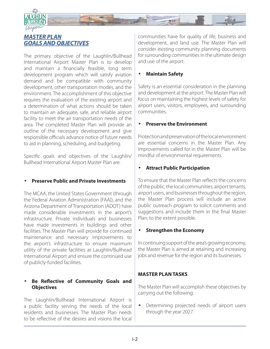

### *MASTER PLAN GOALS AND OBJECTIVES*

The primary objective of the Laughlin/Bullhead International Airport Master Plan is to develop and maintain a financially feasible, long term development program which will satisfy aviation demand and be compatible with community development, other transportation modes, and the environment. The accomplishment of this objective requires the evaluation of the existing airport and a determination of what actions should be taken to maintain an adequate, safe, and reliable airport facility to meet the air transportation needs of the area. The completed Master Plan will provide an outline of the necessary development and give responsible officials advance notice of future needs to aid in planning, scheduling, and budgeting.

Specific goals and objectives of the Laughlin/ Bullhead International Airport Master Plan are:

#### • **Preserve Public and Private Investments**

The MCAA, the United States Government (through the Federal Aviation Administration [FAA]), and the Arizona Department of Transportation (ADOT) have made considerable investments in the airport's infrastructure. Private individuals and businesses have made investments in buildings and other facilities. The Master Plan will provide for continued maintenance and necessary improvements to the airport's infrastructure to ensure maximum utility of the private facilities at Laughlin/Bullhead International Airport and ensure the continued use of publicly-funded facilities.

### **Be Reflective of Community Goals and Objectives**

The Laughlin/Bullhead International Airport is a public facility serving the needs of the local residents and businesses. The Master Plan needs to be reflective of the desires and visions the local communities have for quality of life, business and development, and land use. The Master Plan will consider existing community planning documents for surrounding communities in the ultimate design and use of the airport.

### • **Maintain Safety**

Safety is an essential consideration in the planning and development at the airport. The Master Plan will focus on maintaining the highest levels of safety for airport users, visitors, employees, and surrounding communities.

### • **Preserve the Environment**

Protection and preservation of the local environment are essential concerns in the Master Plan. Any improvements called for in the Master Plan will be mindful of environmental requirements.

### • **Attract Public Participation**

To ensure that the Master Plan reflects the concerns of the public, the local communities, airport tenants, airport users, and businesses throughout the region, the Master Plan process will include an active public outreach program to solicit comments and suggestions and include them in the final Master Plan, to the extent possible.

### • **Strengthen the Economy**

In continuing support of the area's growing economy, the Master Plan is aimed at retaining and increasing jobs and revenue for the region and its businesses.

### **MASTER PLAN TASKS**

The Master Plan will accomplish these objectives by carrying out the following:

• Determining projected needs of airport users through the year 2027.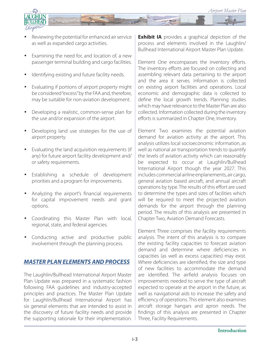

- Reviewing the potential for enhanced air service as well as expanded cargo activities.
- Examining the need for, and location of, a new passenger terminal building and cargo facilities.
- Identifying existing and future facility needs.
- Evaluating if portions of airport property might be considered "excess" by the FAA and, therefore, may be suitable for non-aviation development.
- Developing a realistic, common-sense plan for the use and/or expansion of the airport.
- Developing land use strategies for the use of airport property.
- Evaluating the land acquisition requirements (if any) for future airport facility development and/ or safety requirements.
- Establishing a schedule of development priorities and a program for improvements.
- Analyzing the airport's financial requirements for capital improvement needs and grant options.
- Coordinating this Master Plan with local, regional, state, and federal agencies.
- Conducting active and productive public involvement through the planning process.

### *MASTER PLAN ELEMENTS AND PROCESS*

The Laughlin/Bullhead International Airport Master Plan Update was prepared in a systematic fashion following FAA guidelines and industry-accepted principles and practices. The Master Plan Update for Laughlin/Bullhead International Airport has six general elements that are intended to assist in the discovery of future facility needs and provide the supporting rationale for their implementation. **Exhibit IA** provides a graphical depiction of the process and elements involved in the Laughlin/ Bullhead International Airport Master Plan Update.

Element One encompasses the inventory efforts. The inventory efforts are focused on collecting and assembling relevant data pertaining to the airport and the area it serves. Information is collected on existing airport facilities and operations. Local economic and demographic data is collected to define the local growth trends. Planning studies which may have relevance to the Master Plan are also collected. Information collected during the inventory efforts is summarized in Chapter One, Inventory.

Element Two examines the potential aviation demand for aviation activity at the airport. This analysis utilizes local socioeconomic information, as well as national air transportation trends to quantify the levels of aviation activity which can reasonably be expected to occur at Laughlin/Bullhead International Airport though the year 2027. This includes commercial airline enplanements, air cargo, general aviation based aircraft, and annual aircraft operations by type. The results of this effort are used to determine the types and sizes of facilities which will be required to meet the projected aviation demands for the airport through the planning period. The results of this analysis are presented in Chapter Two, Aviation Demand Forecasts.

Element Three comprises the facility requirements analysis. The intent of this analysis is to compare the existing facility capacities to forecast aviation demand and determine where deficiencies in capacities (as well as excess capacities) may exist. Where deficiencies are identified, the size and type of new facilities to accommodate the demand are identified. The airfield analysis focuses on improvements needed to serve the type of aircraft expected to operate at the airport in the future, as well as navigational aids to increase the safety and efficiency of operations. This element also examines aircraft storage hangars and apron needs. The findings of this analysis are presented in Chapter Three, Facility Requirements.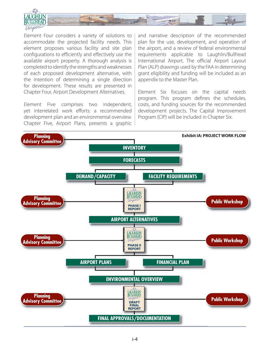

Element Four considers a variety of solutions to accommodate the projected facility needs. This element proposes various facility and site plan configurations to efficiently and effectively use the available airport property. A thorough analysis is completed to identify the strengths and weaknesses of each proposed development alternative, with the intention of determining a single direction for development. These results are presented in Chapter Four, Airport Development Alternatives.

Element Five comprises two independent, yet interrelated work efforts: a recommended development plan and an environmental overview. Chapter Five, Airport Plans, presents a graphic and narrative description of the recommended plan for the use, development, and operation of the airport, and a review of federal environmental requirements applicable to Laughlin/Bullhead International Airport. The official Airport Layout Plan (ALP) drawings used by the FAA in determining grant eligibility and funding will be included as an appendix to the Master Plan.

Element Six focuses on the capital needs program. This program defines the schedules, costs, and funding sources for the recommended development projects. The Capital Improvement Program (CIP) will be included in Chapter Six.